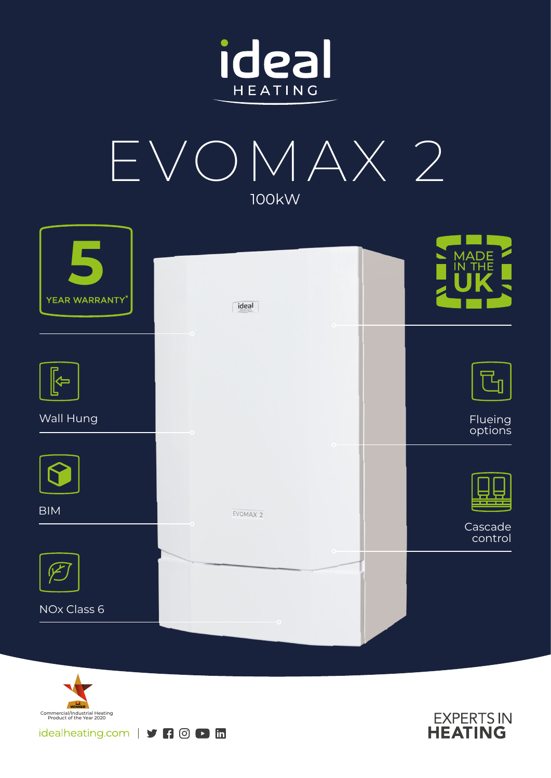



| YEAR WARRANTY* | ideal               | MADE<br>IN THE     |
|----------------|---------------------|--------------------|
|                | $\circ$             |                    |
|                |                     |                    |
| Wall Hung      |                     | Flueing<br>options |
|                |                     |                    |
| <b>BIM</b>     | EVOMAX <sub>2</sub> |                    |
|                |                     | Cascade<br>control |
|                |                     |                    |
| NOx Class 6    |                     |                    |
|                |                     |                    |



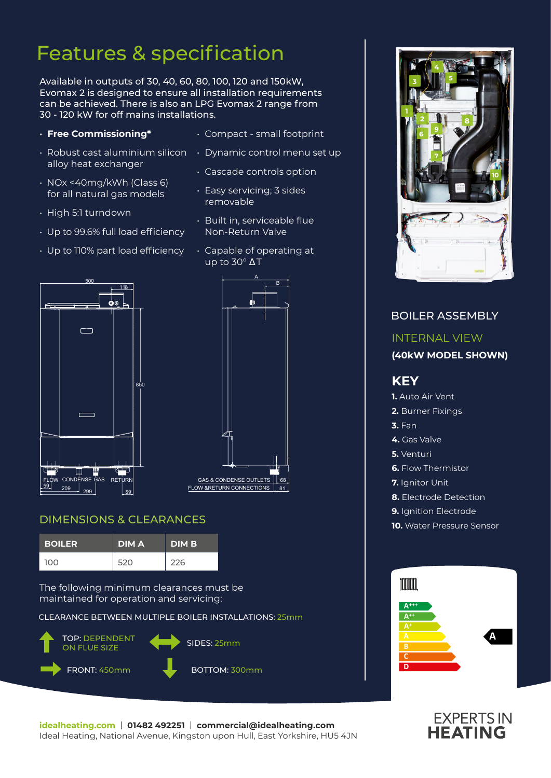## Features & specification

Available in outputs of 30, 40, 60, 80, 100, 120 and 150kW, Evomax 2 is designed to ensure all installation requirements can be achieved. There is also an LPG Evomax 2 range from 30 - 120 kW for off mains installations.

### • **Free Commissioning\***

- $\,\cdot\,$  Robust cast aluminium silicon  $\,\,\cdot\,$  Dynamic control menu set up alloy heat exchanger
- NOx <40mg/kWh (Class 6) for all natural gas models
- High 5:1 turndown
- Up to 99.6% full load efficiency
- Up to 110% part load efficiency



• Compact - small footprint

- Easy servicing; 3 sides removable
- Built in, serviceable flue Non-Return Valve
- Capable of operating at up to 30° Δ T





### DIMENSIONS & CLEARANCES

| <b>BOILER</b> | <b>DIMA</b> | <b>DIM B</b> |
|---------------|-------------|--------------|
| <b>100</b>    | 520         | 226          |

The following minimum clearances must be maintained for operation and servicing:

CLEARANCE BETWEEN MULTIPLE BOILER INSTALLATIONS: 25mm





### BOILER ASSEMBLY INTERNAL VIEW **(40kW MODEL SHOWN) KEY 1.** Auto Air Vent **2.** Burner Fixings **3.** Fan **4.** Gas Valve **5.** Venturi **6.** Flow Thermistor **7.** Ianitor Unit **8.** Electrode Detection **9.** Ignition Electrode **10.** Water Pressure Sensor Imm



# **EXPERTS IN**<br>**HEATING**

**idealheating.com** | **01482 492251** | **commercial@idealheating.com**  Ideal Heating, National Avenue, Kingston upon Hull, East Yorkshire, HU5 4JN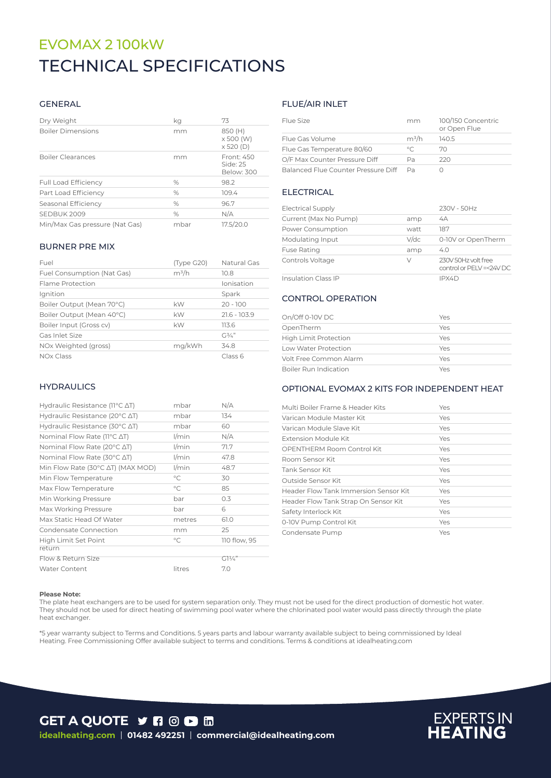### TECHNICAL SPECIFICATIONS EVOMAX 2 100kW

### GENERAL

| Dry Weight                     | kg   | 73                                       |
|--------------------------------|------|------------------------------------------|
| <b>Boiler Dimensions</b>       | mm   | 850 (H)<br>x 500 (W)<br>$\times$ 520 (D) |
| <b>Boiler Clearances</b>       | mm   | Front: 450<br>Side: 25<br>Below: 300     |
| <b>Full Load Efficiency</b>    | $\%$ | 98.2                                     |
| Part Load Efficiency           | %    | 109.4                                    |
| Seasonal Efficiency            | $\%$ | 96.7                                     |
| SEDBUK 2009                    | %    | N/A                                      |
| Min/Max Gas pressure (Nat Gas) | mbar | 17.5/20.0                                |

#### BURNER PRE MIX

| Fuel                       | (Type G20) | Natural Gas    |
|----------------------------|------------|----------------|
| Fuel Consumption (Nat Gas) | $m^3/h$    | 10.8           |
| Flame Protection           |            | Ionisation     |
| Ignition                   |            | Spark          |
| Boiler Output (Mean 70°C)  | kW         | $20 - 100$     |
| Boiler Output (Mean 40°C)  | kW         | $21.6 - 103.9$ |
| Boiler Input (Gross cv)    | kW         | 113.6          |
| Gas Inlet Size             |            | $G^{3/2}$      |
| NOx Weighted (gross)       | mg/kWh     | 34.8           |
| NO <sub>x</sub> Class      |            | Class 6        |

#### **HYDRAULICS**

| Hydraulic Resistance ( $11^{\circ}$ C $\Delta$ T)   | mbar         | N/A             |
|-----------------------------------------------------|--------------|-----------------|
| Hydraulic Resistance (20 $\degree$ C $\triangle$ T) | mbar         | 134             |
| Hydraulic Resistance (30 $\degree$ C $\triangle$ T) | mbar         | 60              |
| Nominal Flow Rate ( $11^{\circ}$ C $\Delta$ T)      | $1/m$ in     | N/A             |
| Nominal Flow Rate (20°C ∆T)                         | $1/m$ in     | 71.7            |
| Nominal Flow Rate (30°C ∆T)                         | $1/m$ in     | 47.8            |
| Min Flow Rate (30°C ∆T) (MAX MOD)                   | $1/m$ in     | 48.7            |
| Min Flow Temperature                                | $^{\circ}$ C | 30              |
| Max Flow Temperature                                | $^{\circ}$ C | 85              |
| Min Working Pressure                                | bar          | 0.3             |
| Max Working Pressure                                | bar          | 6               |
| Max Static Head Of Water                            | metres       | 61.0            |
| Condensate Connection                               | mm           | 25              |
| High Limit Set Point                                | $^{\circ}$ C | 110 flow, 95    |
| return                                              |              |                 |
| Flow & Return Size                                  |              | $GI\frac{1}{4}$ |
| <b>Water Content</b>                                | litres       | 7.0             |
|                                                     |              |                 |

### FLUE/AIR INLET

| Flue Size                           | mm      | 100/150 Concentric<br>or Open Flue |
|-------------------------------------|---------|------------------------------------|
| Flue Gas Volume                     | $m^3/h$ | 140.5                              |
| Flue Gas Temperature 80/60          | $\circ$ | 70                                 |
| O/F Max Counter Pressure Diff       | Рa      | 220                                |
| Balanced Flue Counter Pressure Diff | Da      |                                    |

### **ELECTRICAL**

| <b>Electrical Supply</b>   |         | 230V - 50Hz                                    |
|----------------------------|---------|------------------------------------------------|
| Current (Max No Pump)      | amp     | 4A                                             |
| Power Consumption          | watt    | 187                                            |
| Modulating Input           | $V$ /dc | 0-10V or OpenTherm                             |
| <b>Fuse Rating</b>         | amp     | 4.0                                            |
| Controls Voltage           | V       | 230V 50Hz volt free<br>control or PELV=<24V DC |
| <b>Insulation Class IP</b> |         | IPX4D                                          |

### CONTROL OPERATION

| $On/Off$ 0-10V DC            | Yes |
|------------------------------|-----|
| OpenTherm                    | Yes |
| <b>High Limit Protection</b> | Yes |
| Low Water Protection         | Yes |
| Volt Free Common Alarm       | Yes |
| Boiler Run Indication        | Yes |

### OPTIONAL EVOMAX 2 KITS FOR INDEPENDENT HEAT

| Multi Boiler Frame & Header Kits      | Yes |
|---------------------------------------|-----|
| Varican Module Master Kit             | Yes |
| Varican Module Slave Kit              | Yes |
| Extension Module Kit                  | Yes |
| OPENTHERM Room Control Kit            | Yes |
| Room Sensor Kit                       | Yes |
| Tank Sensor Kit                       | Yes |
| Outside Sensor Kit                    | Yes |
| Header Flow Tank Immersion Sensor Kit | Yes |
| Header Flow Tank Strap On Sensor Kit  | Yes |
| Safety Interlock Kit                  | Yes |
| 0-10V Pump Control Kit                | Yes |
| Condensate Pump                       | Yes |

#### **Please Note:**

The plate heat exchangers are to be used for system separation only. They must not be used for the direct production of domestic hot water. They should not be used for direct heating of swimming pool water where the chlorinated pool water would pass directly through the plate heat exchanger.

\*5 year warranty subject to Terms and Conditions. 5 years parts and labour warranty available subject to being commissioned by Ideal Heating. Free Commissioning Offer available subject to terms and conditions. Terms & conditions at idealheating.com